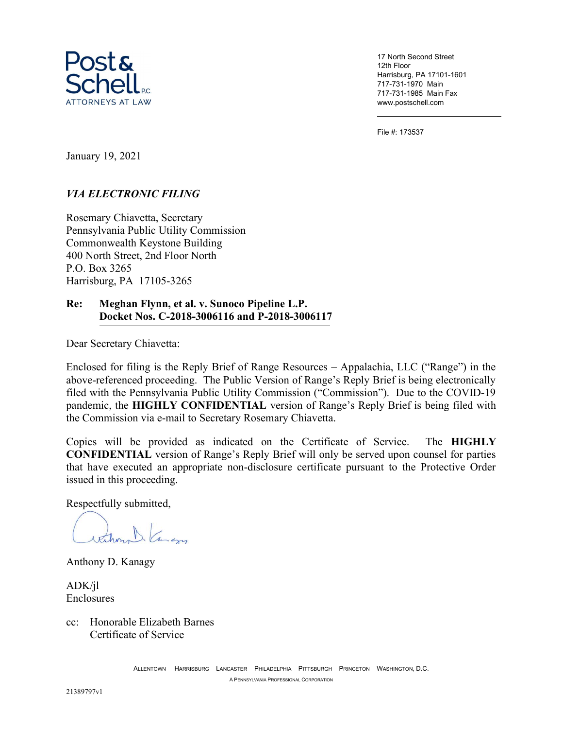

17 North Second Street 12th Floor Harrisburg, PA 17101-1601 717-731-1970 Main 717-731-1985 Main Fax www.postschell.com

File #: 173537

January 19, 2021

### VIA ELECTRONIC FILING

Rosemary Chiavetta, Secretary Pennsylvania Public Utility Commission Commonwealth Keystone Building 400 North Street, 2nd Floor North P.O. Box 3265 Harrisburg, PA 17105-3265

#### Re: Meghan Flynn, et al. v. Sunoco Pipeline L.P. Docket Nos. C-2018-3006116 and P-2018-3006117

Dear Secretary Chiavetta:

Enclosed for filing is the Reply Brief of Range Resources – Appalachia, LLC ("Range") in the above-referenced proceeding. The Public Version of Range's Reply Brief is being electronically filed with the Pennsylvania Public Utility Commission ("Commission"). Due to the COVID-19 pandemic, the HIGHLY CONFIDENTIAL version of Range's Reply Brief is being filed with the Commission via e-mail to Secretary Rosemary Chiavetta.

Copies will be provided as indicated on the Certificate of Service. The HIGHLY CONFIDENTIAL version of Range's Reply Brief will only be served upon counsel for parties that have executed an appropriate non-disclosure certificate pursuant to the Protective Order issued in this proceeding.

Respectfully submitted,

thehom . Camero

Anthony D. Kanagy

ADK/jl Enclosures

cc: Honorable Elizabeth Barnes Certificate of Service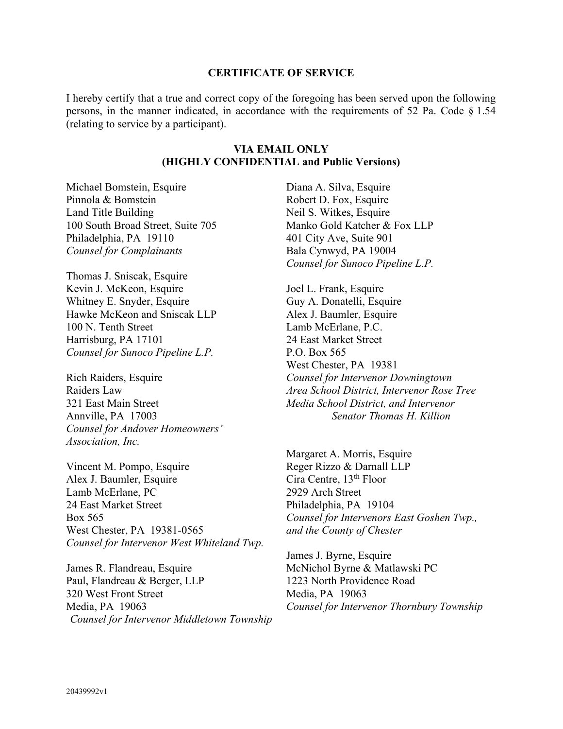#### CERTIFICATE OF SERVICE

I hereby certify that a true and correct copy of the foregoing has been served upon the following persons, in the manner indicated, in accordance with the requirements of 52 Pa. Code § 1.54 (relating to service by a participant).

### VIA EMAIL ONLY (HIGHLY CONFIDENTIAL and Public Versions)

Michael Bomstein, Esquire Pinnola & Bomstein Land Title Building 100 South Broad Street, Suite 705 Philadelphia, PA 19110 Counsel for Complainants

Thomas J. Sniscak, Esquire Kevin J. McKeon, Esquire Whitney E. Snyder, Esquire Hawke McKeon and Sniscak LLP 100 N. Tenth Street Harrisburg, PA 17101 Counsel for Sunoco Pipeline L.P.

Rich Raiders, Esquire Raiders Law 321 East Main Street Annville, PA 17003 Counsel for Andover Homeowners' Association, Inc.

Vincent M. Pompo, Esquire Alex J. Baumler, Esquire Lamb McErlane, PC 24 East Market Street Box 565 West Chester, PA 19381-0565 Counsel for Intervenor West Whiteland Twp.

James R. Flandreau, Esquire Paul, Flandreau & Berger, LLP 320 West Front Street Media, PA 19063 Counsel for Intervenor Middletown Township Diana A. Silva, Esquire Robert D. Fox, Esquire Neil S. Witkes, Esquire Manko Gold Katcher & Fox LLP 401 City Ave, Suite 901 Bala Cynwyd, PA 19004 Counsel for Sunoco Pipeline L.P.

Joel L. Frank, Esquire Guy A. Donatelli, Esquire Alex J. Baumler, Esquire Lamb McErlane, P.C. 24 East Market Street P.O. Box 565 West Chester, PA 19381 Counsel for Intervenor Downingtown Area School District, Intervenor Rose Tree Media School District, and Intervenor Senator Thomas H. Killion

Margaret A. Morris, Esquire Reger Rizzo & Darnall LLP Cira Centre, 13<sup>th</sup> Floor 2929 Arch Street Philadelphia, PA 19104 Counsel for Intervenors East Goshen Twp., and the County of Chester

James J. Byrne, Esquire McNichol Byrne & Matlawski PC 1223 North Providence Road Media, PA 19063 Counsel for Intervenor Thornbury Township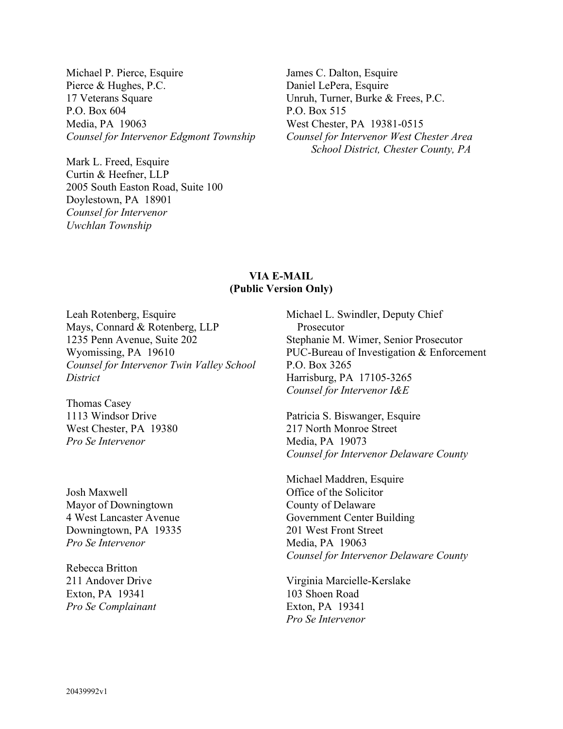Michael P. Pierce, Esquire Pierce & Hughes, P.C. 17 Veterans Square P.O. Box 604 Media, PA 19063 Counsel for Intervenor Edgmont Township

Mark L. Freed, Esquire Curtin & Heefner, LLP 2005 South Easton Road, Suite 100 Doylestown, PA 18901 Counsel for Intervenor Uwchlan Township

James C. Dalton, Esquire Daniel LePera, Esquire Unruh, Turner, Burke & Frees, P.C. P.O. Box 515 West Chester, PA 19381-0515 Counsel for Intervenor West Chester Area School District, Chester County, PA

### VIA E-MAIL (Public Version Only)

Leah Rotenberg, Esquire Mays, Connard & Rotenberg, LLP 1235 Penn Avenue, Suite 202 Wyomissing, PA 19610 Counsel for Intervenor Twin Valley School **District** 

Thomas Casey 1113 Windsor Drive West Chester, PA 19380 Pro Se Intervenor

Josh Maxwell Mayor of Downingtown 4 West Lancaster Avenue Downingtown, PA 19335 Pro Se Intervenor

Rebecca Britton 211 Andover Drive Exton, PA 19341 Pro Se Complainant Michael L. Swindler, Deputy Chief Prosecutor Stephanie M. Wimer, Senior Prosecutor PUC-Bureau of Investigation & Enforcement P.O. Box 3265 Harrisburg, PA 17105-3265 Counsel for Intervenor I&E

Patricia S. Biswanger, Esquire 217 North Monroe Street Media, PA 19073 Counsel for Intervenor Delaware County

Michael Maddren, Esquire Office of the Solicitor County of Delaware Government Center Building 201 West Front Street Media, PA 19063 Counsel for Intervenor Delaware County

Virginia Marcielle-Kerslake 103 Shoen Road Exton, PA 19341 Pro Se Intervenor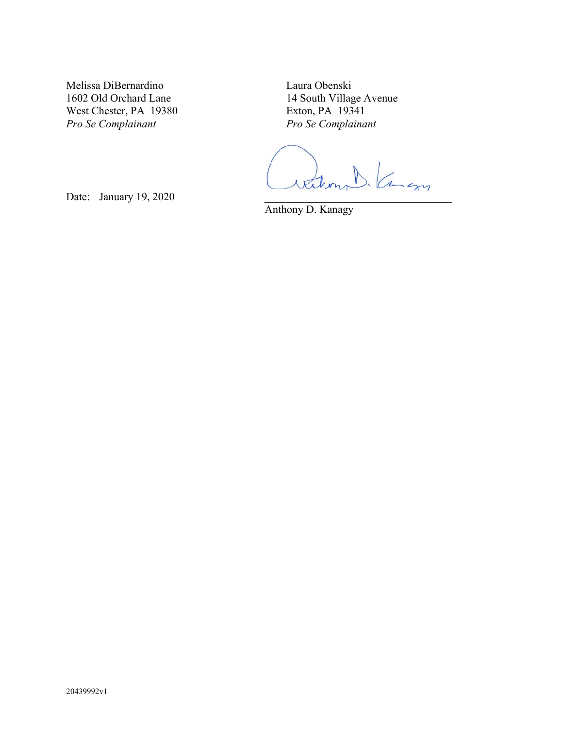Melissa DiBernardino 1602 Old Orchard Lane West Chester, PA 19380 Pro Se Complainant

Laura Obenski 14 South Village Avenue Exton, PA 19341 Pro Se Complainant

Date: January 19, 2020

Anthony D. Kanagy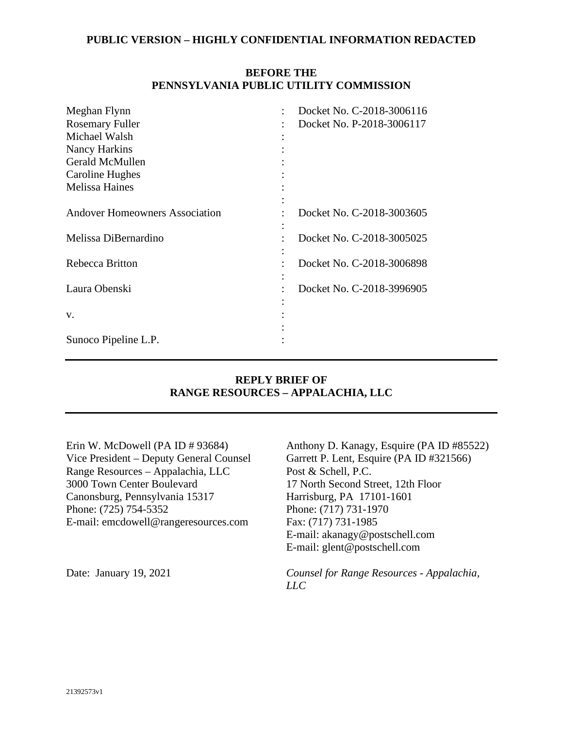### **BEFORE THE PENNSYLVANIA PUBLIC UTILITY COMMISSION**

| Meghan Flynn                          |  | Docket No. C-2018-3006116 |
|---------------------------------------|--|---------------------------|
| <b>Rosemary Fuller</b>                |  | Docket No. P-2018-3006117 |
| Michael Walsh                         |  |                           |
| <b>Nancy Harkins</b>                  |  |                           |
| Gerald McMullen                       |  |                           |
| Caroline Hughes                       |  |                           |
| <b>Melissa Haines</b>                 |  |                           |
|                                       |  |                           |
| <b>Andover Homeowners Association</b> |  | Docket No. C-2018-3003605 |
|                                       |  |                           |
| Melissa DiBernardino                  |  | Docket No. C-2018-3005025 |
|                                       |  |                           |
| Rebecca Britton                       |  | Docket No. C-2018-3006898 |
|                                       |  |                           |
| Laura Obenski                         |  | Docket No. C-2018-3996905 |
|                                       |  |                           |
| V.                                    |  |                           |
|                                       |  |                           |
| Sunoco Pipeline L.P.                  |  |                           |

### **REPLY BRIEF OF RANGE RESOURCES – APPALACHIA, LLC**

Erin W. McDowell (PA ID # 93684) Vice President – Deputy General Counsel Range Resources – Appalachia, LLC 3000 Town Center Boulevard Canonsburg, Pennsylvania 15317 Phone: (725) 754-5352 E-mail: emcdowell@rangeresources.com

Anthony D. Kanagy, Esquire (PA ID #85522) Garrett P. Lent, Esquire (PA ID #321566) Post & Schell, P.C. 17 North Second Street, 12th Floor Harrisburg, PA 17101-1601 Phone: (717) 731-1970 Fax: (717) 731-1985 E-mail: akanagy@postschell.com E-mail: glent@postschell.com

Date: January 19, 2021 *Counsel for Range Resources - Appalachia, LLC*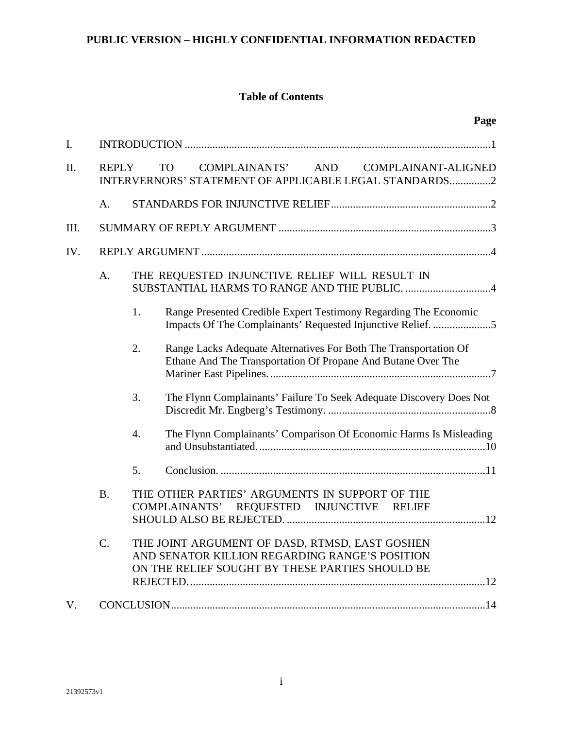## **Table of Contents**

| I.   |                 |                  |                                                                                                                                                     |  |
|------|-----------------|------------------|-----------------------------------------------------------------------------------------------------------------------------------------------------|--|
| Π.   | <b>REPLY</b>    |                  | AND<br><b>COMPLAINANTS'</b><br><b>TO</b><br>COMPLAINANT-ALIGNED<br>INTERVERNORS' STATEMENT OF APPLICABLE LEGAL STANDARDS2                           |  |
|      | A.              |                  |                                                                                                                                                     |  |
| III. |                 |                  |                                                                                                                                                     |  |
| IV.  |                 |                  |                                                                                                                                                     |  |
|      | A.              |                  | THE REQUESTED INJUNCTIVE RELIEF WILL RESULT IN                                                                                                      |  |
|      |                 | 1.               | Range Presented Credible Expert Testimony Regarding The Economic<br>Impacts Of The Complainants' Requested Injunctive Relief. 5                     |  |
|      |                 | 2.               | Range Lacks Adequate Alternatives For Both The Transportation Of<br>Ethane And The Transportation Of Propane And Butane Over The                    |  |
|      |                 | 3.               | The Flynn Complainants' Failure To Seek Adequate Discovery Does Not                                                                                 |  |
|      |                 | $\overline{4}$ . | The Flynn Complainants' Comparison Of Economic Harms Is Misleading                                                                                  |  |
|      |                 | 5.               |                                                                                                                                                     |  |
|      | <b>B.</b>       |                  | THE OTHER PARTIES' ARGUMENTS IN SUPPORT OF THE<br>COMPLAINANTS' REQUESTED INJUNCTIVE RELIEF                                                         |  |
|      | $\mathcal{C}$ . |                  | THE JOINT ARGUMENT OF DASD, RTMSD, EAST GOSHEN<br>AND SENATOR KILLION REGARDING RANGE'S POSITION<br>ON THE RELIEF SOUGHT BY THESE PARTIES SHOULD BE |  |
| V.   |                 |                  |                                                                                                                                                     |  |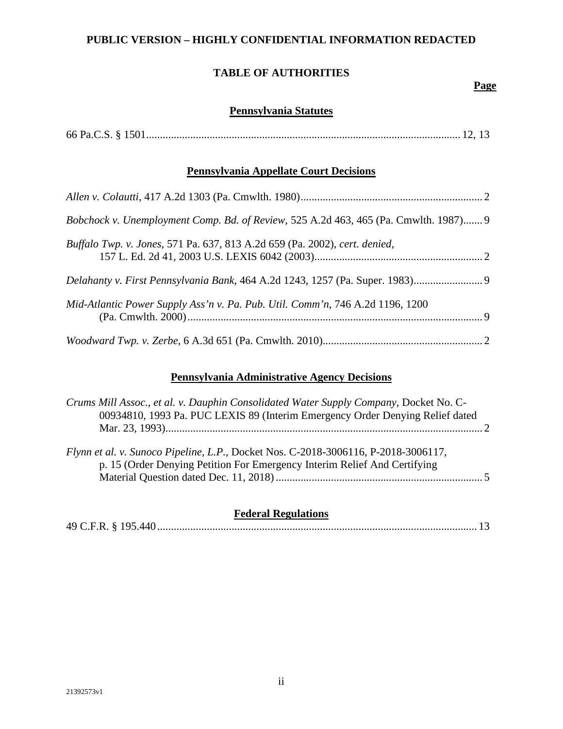# **TABLE OF AUTHORITIES**

### **Page**

### **Pennsylvania Statutes**

## **Pennsylvania Appellate Court Decisions**

| Bobchock v. Unemployment Comp. Bd. of Review, 525 A.2d 463, 465 (Pa. Cmwlth. 1987) 9 |  |
|--------------------------------------------------------------------------------------|--|
| Buffalo Twp. v. Jones, 571 Pa. 637, 813 A.2d 659 (Pa. 2002), cert. denied,           |  |
| Delahanty v. First Pennsylvania Bank, 464 A.2d 1243, 1257 (Pa. Super. 1983)          |  |
| Mid-Atlantic Power Supply Ass'n v. Pa. Pub. Util. Comm'n, 746 A.2d 1196, 1200        |  |
|                                                                                      |  |

## **Pennsylvania Administrative Agency Decisions**

| Crums Mill Assoc., et al. v. Dauphin Consolidated Water Supply Company, Docket No. C-<br>00934810, 1993 Pa. PUC LEXIS 89 (Interim Emergency Order Denying Relief dated |  |
|------------------------------------------------------------------------------------------------------------------------------------------------------------------------|--|
| Flynn et al. v. Sunoco Pipeline, L.P., Docket Nos. C-2018-3006116, P-2018-3006117,<br>p. 15 (Order Denying Petition For Emergency Interim Relief And Certifying        |  |

## **Federal Regulations**

|--|--|--|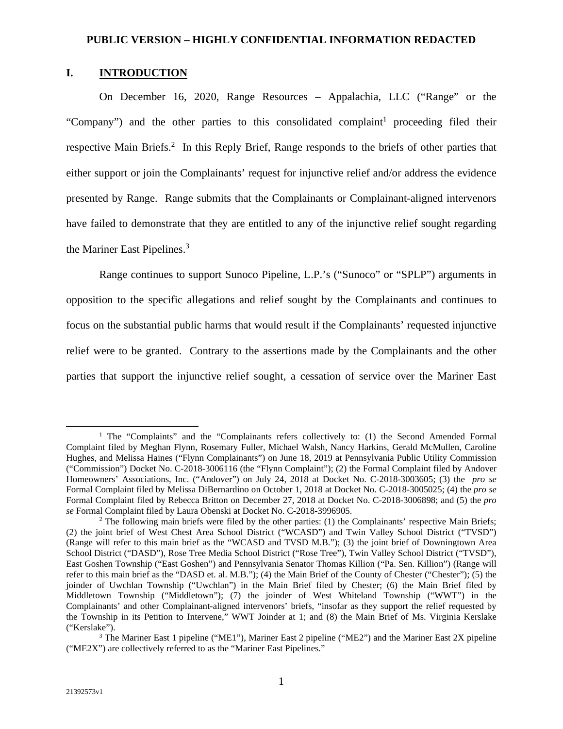### **I. INTRODUCTION**

On December 16, 2020, Range Resources – Appalachia, LLC ("Range" or the "Company") and the other parties to this consolidated complaint<sup>1</sup> proceeding filed their respective Main Briefs.<sup>2</sup> In this Reply Brief, Range responds to the briefs of other parties that either support or join the Complainants' request for injunctive relief and/or address the evidence presented by Range. Range submits that the Complainants or Complainant-aligned intervenors have failed to demonstrate that they are entitled to any of the injunctive relief sought regarding the Mariner East Pipelines.<sup>3</sup>

Range continues to support Sunoco Pipeline, L.P.'s ("Sunoco" or "SPLP") arguments in opposition to the specific allegations and relief sought by the Complainants and continues to focus on the substantial public harms that would result if the Complainants' requested injunctive relief were to be granted. Contrary to the assertions made by the Complainants and the other parties that support the injunctive relief sought, a cessation of service over the Mariner East

<sup>&</sup>lt;sup>1</sup> The "Complaints" and the "Complainants refers collectively to: (1) the Second Amended Formal Complaint filed by Meghan Flynn, Rosemary Fuller, Michael Walsh, Nancy Harkins, Gerald McMullen, Caroline Hughes, and Melissa Haines ("Flynn Complainants") on June 18, 2019 at Pennsylvania Public Utility Commission ("Commission") Docket No. C-2018-3006116 (the "Flynn Complaint"); (2) the Formal Complaint filed by Andover Homeowners' Associations, Inc. ("Andover") on July 24, 2018 at Docket No. C-2018-3003605; (3) the *pro se*  Formal Complaint filed by Melissa DiBernardino on October 1, 2018 at Docket No. C-2018-3005025; (4) the *pro se*  Formal Complaint filed by Rebecca Britton on December 27, 2018 at Docket No. C-2018-3006898; and (5) the *pro se* Formal Complaint filed by Laura Obenski at Docket No. C-2018-3996905.

<sup>&</sup>lt;sup>2</sup> The following main briefs were filed by the other parties: (1) the Complainants' respective Main Briefs; (2) the joint brief of West Chest Area School District ("WCASD") and Twin Valley School District ("TVSD") (Range will refer to this main brief as the "WCASD and TVSD M.B."); (3) the joint brief of Downingtown Area School District ("DASD"), Rose Tree Media School District ("Rose Tree"), Twin Valley School District ("TVSD"), East Goshen Township ("East Goshen") and Pennsylvania Senator Thomas Killion ("Pa. Sen. Killion") (Range will refer to this main brief as the "DASD et. al. M.B."); (4) the Main Brief of the County of Chester ("Chester"); (5) the joinder of Uwchlan Township ("Uwchlan") in the Main Brief filed by Chester; (6) the Main Brief filed by Middletown Township ("Middletown"); (7) the joinder of West Whiteland Township ("WWT") in the Complainants' and other Complainant-aligned intervenors' briefs, "insofar as they support the relief requested by the Township in its Petition to Intervene," WWT Joinder at 1; and (8) the Main Brief of Ms. Virginia Kerslake ("Kerslake").

<sup>&</sup>lt;sup>3</sup> The Mariner East 1 pipeline ("ME1"), Mariner East 2 pipeline ("ME2") and the Mariner East 2X pipeline ("ME2X") are collectively referred to as the "Mariner East Pipelines."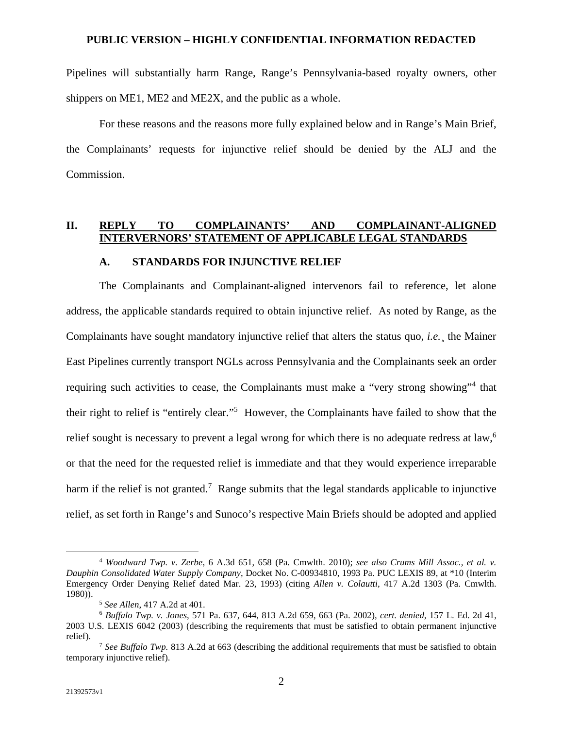Pipelines will substantially harm Range, Range's Pennsylvania-based royalty owners, other shippers on ME1, ME2 and ME2X, and the public as a whole.

For these reasons and the reasons more fully explained below and in Range's Main Brief, the Complainants' requests for injunctive relief should be denied by the ALJ and the Commission.

### **II. REPLY TO COMPLAINANTS' AND COMPLAINANT-ALIGNED INTERVERNORS' STATEMENT OF APPLICABLE LEGAL STANDARDS**

#### **A. STANDARDS FOR INJUNCTIVE RELIEF**

The Complainants and Complainant-aligned intervenors fail to reference, let alone address, the applicable standards required to obtain injunctive relief. As noted by Range, as the Complainants have sought mandatory injunctive relief that alters the status quo, *i.e.*¸ the Mainer East Pipelines currently transport NGLs across Pennsylvania and the Complainants seek an order requiring such activities to cease, the Complainants must make a "very strong showing"<sup>4</sup> that their right to relief is "entirely clear."<sup>5</sup> However, the Complainants have failed to show that the relief sought is necessary to prevent a legal wrong for which there is no adequate redress at law,<sup>6</sup> or that the need for the requested relief is immediate and that they would experience irreparable harm if the relief is not granted.<sup>7</sup> Range submits that the legal standards applicable to injunctive relief, as set forth in Range's and Sunoco's respective Main Briefs should be adopted and applied

<sup>4</sup> *Woodward Twp. v. Zerbe*, 6 A.3d 651, 658 (Pa. Cmwlth. 2010); *see also Crums Mill Assoc., et al. v. Dauphin Consolidated Water Supply Company*, Docket No. C-00934810, 1993 Pa. PUC LEXIS 89, at \*10 (Interim Emergency Order Denying Relief dated Mar. 23, 1993) (citing *Allen v. Colautti*, 417 A.2d 1303 (Pa. Cmwlth. 1980)).

<sup>5</sup> *See Allen*, 417 A.2d at 401.

<sup>6</sup> *Buffalo Twp. v. Jones*, 571 Pa. 637, 644, 813 A.2d 659, 663 (Pa. 2002), *cert. denied*, 157 L. Ed. 2d 41, 2003 U.S. LEXIS 6042 (2003) (describing the requirements that must be satisfied to obtain permanent injunctive relief).

<sup>7</sup> *See Buffalo Twp.* 813 A.2d at 663 (describing the additional requirements that must be satisfied to obtain temporary injunctive relief).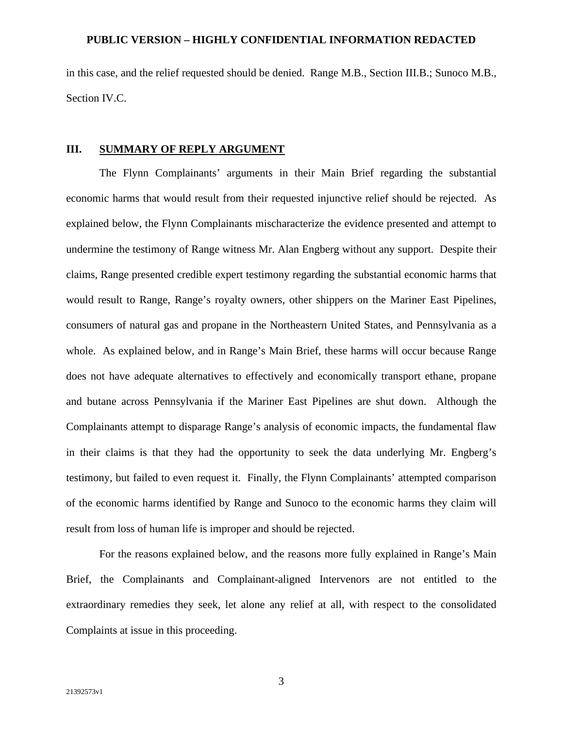in this case, and the relief requested should be denied. Range M.B., Section III.B.; Sunoco M.B., Section IV.C.

#### **III. SUMMARY OF REPLY ARGUMENT**

The Flynn Complainants' arguments in their Main Brief regarding the substantial economic harms that would result from their requested injunctive relief should be rejected. As explained below, the Flynn Complainants mischaracterize the evidence presented and attempt to undermine the testimony of Range witness Mr. Alan Engberg without any support. Despite their claims, Range presented credible expert testimony regarding the substantial economic harms that would result to Range, Range's royalty owners, other shippers on the Mariner East Pipelines, consumers of natural gas and propane in the Northeastern United States, and Pennsylvania as a whole. As explained below, and in Range's Main Brief, these harms will occur because Range does not have adequate alternatives to effectively and economically transport ethane, propane and butane across Pennsylvania if the Mariner East Pipelines are shut down. Although the Complainants attempt to disparage Range's analysis of economic impacts, the fundamental flaw in their claims is that they had the opportunity to seek the data underlying Mr. Engberg's testimony, but failed to even request it. Finally, the Flynn Complainants' attempted comparison of the economic harms identified by Range and Sunoco to the economic harms they claim will result from loss of human life is improper and should be rejected.

For the reasons explained below, and the reasons more fully explained in Range's Main Brief, the Complainants and Complainant-aligned Intervenors are not entitled to the extraordinary remedies they seek, let alone any relief at all, with respect to the consolidated Complaints at issue in this proceeding.

3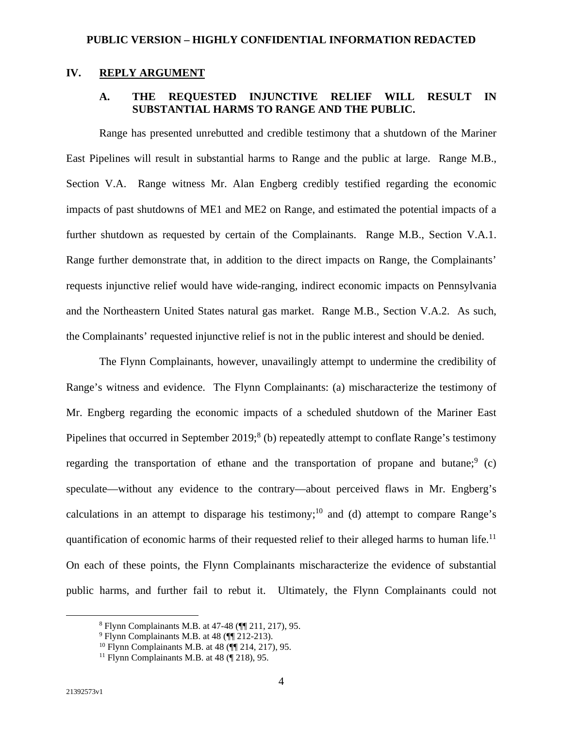### **IV. REPLY ARGUMENT**

## **A. THE REQUESTED INJUNCTIVE RELIEF WILL RESULT IN SUBSTANTIAL HARMS TO RANGE AND THE PUBLIC.**

Range has presented unrebutted and credible testimony that a shutdown of the Mariner East Pipelines will result in substantial harms to Range and the public at large. Range M.B., Section V.A. Range witness Mr. Alan Engberg credibly testified regarding the economic impacts of past shutdowns of ME1 and ME2 on Range, and estimated the potential impacts of a further shutdown as requested by certain of the Complainants. Range M.B., Section V.A.1. Range further demonstrate that, in addition to the direct impacts on Range, the Complainants' requests injunctive relief would have wide-ranging, indirect economic impacts on Pennsylvania and the Northeastern United States natural gas market. Range M.B., Section V.A.2. As such, the Complainants' requested injunctive relief is not in the public interest and should be denied.

The Flynn Complainants, however, unavailingly attempt to undermine the credibility of Range's witness and evidence. The Flynn Complainants: (a) mischaracterize the testimony of Mr. Engberg regarding the economic impacts of a scheduled shutdown of the Mariner East Pipelines that occurred in September  $2019$ ;  $8$  (b) repeatedly attempt to conflate Range's testimony regarding the transportation of ethane and the transportation of propane and butane; $9$  (c) speculate—without any evidence to the contrary—about perceived flaws in Mr. Engberg's calculations in an attempt to disparage his testimony;<sup>10</sup> and (d) attempt to compare Range's quantification of economic harms of their requested relief to their alleged harms to human life.<sup>11</sup> On each of these points, the Flynn Complainants mischaracterize the evidence of substantial public harms, and further fail to rebut it. Ultimately, the Flynn Complainants could not

<sup>8</sup> Flynn Complainants M.B. at 47-48 (¶¶ 211, 217), 95.

<sup>&</sup>lt;sup>9</sup> Flynn Complainants M.B. at 48 (¶ 212-213).

<sup>&</sup>lt;sup>10</sup> Flynn Complainants M.B. at 48 ( $\P$  214, 217), 95.

<sup>&</sup>lt;sup>11</sup> Flynn Complainants M.B. at  $48$  ( $\boxed{218}$ ), 95.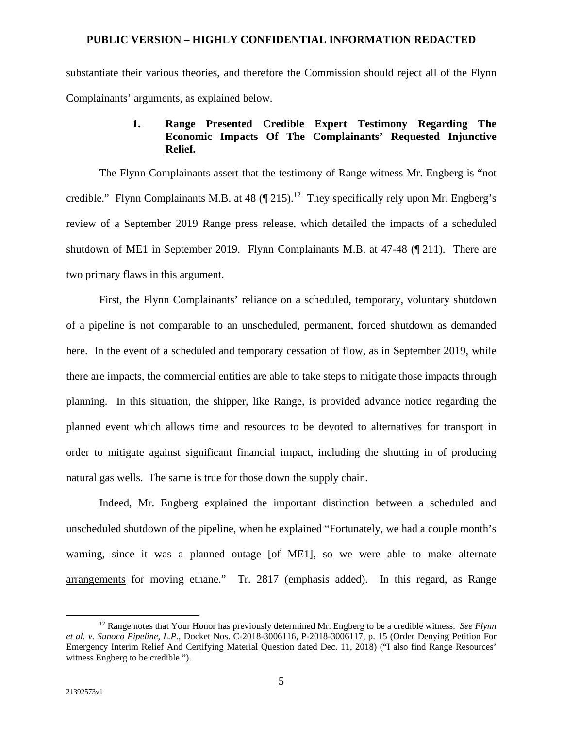substantiate their various theories, and therefore the Commission should reject all of the Flynn Complainants' arguments, as explained below.

### **1. Range Presented Credible Expert Testimony Regarding The Economic Impacts Of The Complainants' Requested Injunctive Relief.**

The Flynn Complainants assert that the testimony of Range witness Mr. Engberg is "not credible." Flynn Complainants M.B. at 48  $(\P 215)^{12}$  They specifically rely upon Mr. Engberg's review of a September 2019 Range press release, which detailed the impacts of a scheduled shutdown of ME1 in September 2019. Flynn Complainants M.B. at 47-48 (¶ 211). There are two primary flaws in this argument.

First, the Flynn Complainants' reliance on a scheduled, temporary, voluntary shutdown of a pipeline is not comparable to an unscheduled, permanent, forced shutdown as demanded here. In the event of a scheduled and temporary cessation of flow, as in September 2019, while there are impacts, the commercial entities are able to take steps to mitigate those impacts through planning. In this situation, the shipper, like Range, is provided advance notice regarding the planned event which allows time and resources to be devoted to alternatives for transport in order to mitigate against significant financial impact, including the shutting in of producing natural gas wells. The same is true for those down the supply chain.

Indeed, Mr. Engberg explained the important distinction between a scheduled and unscheduled shutdown of the pipeline, when he explained "Fortunately, we had a couple month's warning, since it was a planned outage [of ME1], so we were able to make alternate arrangements for moving ethane." Tr. 2817 (emphasis added). In this regard, as Range

<sup>12</sup> Range notes that Your Honor has previously determined Mr. Engberg to be a credible witness. *See Flynn et al. v. Sunoco Pipeline, L.P.*, Docket Nos. C-2018-3006116, P-2018-3006117, p. 15 (Order Denying Petition For Emergency Interim Relief And Certifying Material Question dated Dec. 11, 2018) ("I also find Range Resources' witness Engberg to be credible.").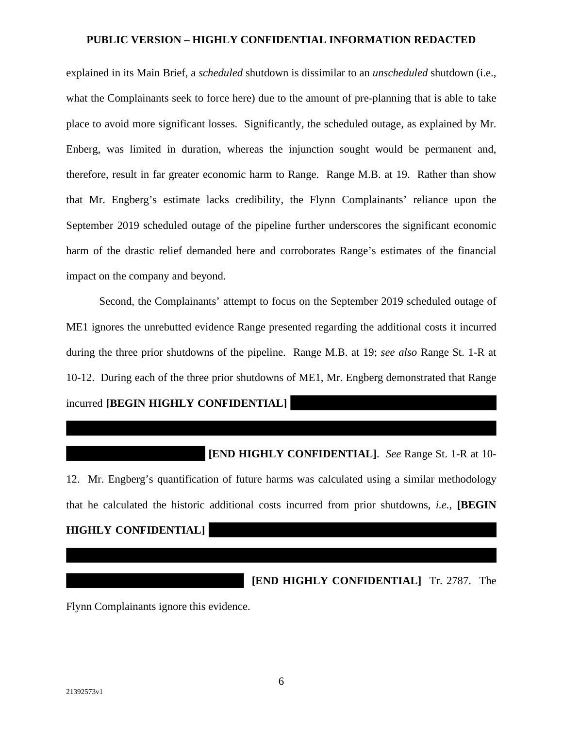explained in its Main Brief, a *scheduled* shutdown is dissimilar to an *unscheduled* shutdown (i.e., what the Complainants seek to force here) due to the amount of pre-planning that is able to take place to avoid more significant losses. Significantly, the scheduled outage, as explained by Mr. Enberg, was limited in duration, whereas the injunction sought would be permanent and, therefore, result in far greater economic harm to Range. Range M.B. at 19. Rather than show that Mr. Engberg's estimate lacks credibility, the Flynn Complainants' reliance upon the September 2019 scheduled outage of the pipeline further underscores the significant economic harm of the drastic relief demanded here and corroborates Range's estimates of the financial impact on the company and beyond.

Second, the Complainants' attempt to focus on the September 2019 scheduled outage of ME1 ignores the unrebutted evidence Range presented regarding the additional costs it incurred during the three prior shutdowns of the pipeline. Range M.B. at 19; *see also* Range St. 1-R at 10-12. During each of the three prior shutdowns of ME1, Mr. Engberg demonstrated that Range incurred **[BEGIN HIGHLY CONFIDENTIAL]** 

**[END HIGHLY CONFIDENTIAL]**. *See* Range St. 1-R at 10- 12. Mr. Engberg's quantification of future harms was calculated using a similar methodology that he calculated the historic additional costs incurred from prior shutdowns, *i.e.*, **[BEGIN HIGHLY CONFIDENTIAL]** 

**[END HIGHLY CONFIDENTIAL]** Tr. 2787. The

Flynn Complainants ignore this evidence.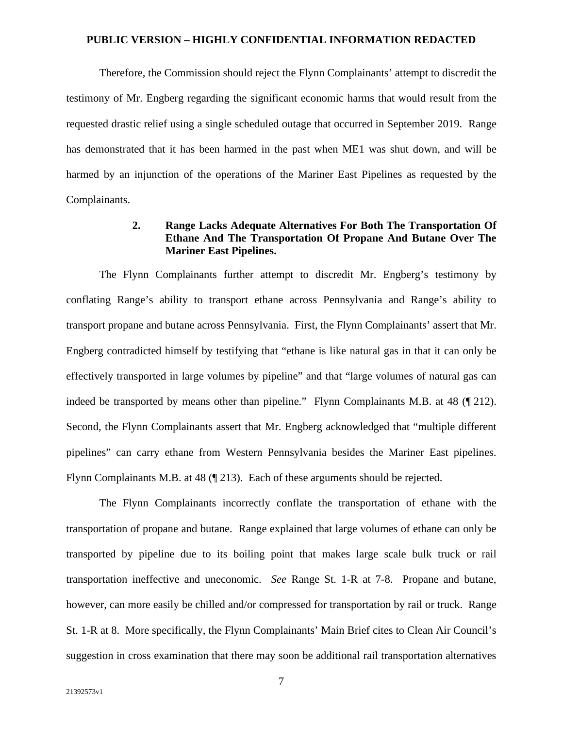Therefore, the Commission should reject the Flynn Complainants' attempt to discredit the testimony of Mr. Engberg regarding the significant economic harms that would result from the requested drastic relief using a single scheduled outage that occurred in September 2019. Range has demonstrated that it has been harmed in the past when ME1 was shut down, and will be harmed by an injunction of the operations of the Mariner East Pipelines as requested by the Complainants.

### **2. Range Lacks Adequate Alternatives For Both The Transportation Of Ethane And The Transportation Of Propane And Butane Over The Mariner East Pipelines.**

The Flynn Complainants further attempt to discredit Mr. Engberg's testimony by conflating Range's ability to transport ethane across Pennsylvania and Range's ability to transport propane and butane across Pennsylvania. First, the Flynn Complainants' assert that Mr. Engberg contradicted himself by testifying that "ethane is like natural gas in that it can only be effectively transported in large volumes by pipeline" and that "large volumes of natural gas can indeed be transported by means other than pipeline." Flynn Complainants M.B. at 48 (¶ 212). Second, the Flynn Complainants assert that Mr. Engberg acknowledged that "multiple different pipelines" can carry ethane from Western Pennsylvania besides the Mariner East pipelines. Flynn Complainants M.B. at 48 (¶ 213). Each of these arguments should be rejected.

The Flynn Complainants incorrectly conflate the transportation of ethane with the transportation of propane and butane. Range explained that large volumes of ethane can only be transported by pipeline due to its boiling point that makes large scale bulk truck or rail transportation ineffective and uneconomic. *See* Range St. 1-R at 7-8. Propane and butane, however, can more easily be chilled and/or compressed for transportation by rail or truck. Range St. 1-R at 8. More specifically, the Flynn Complainants' Main Brief cites to Clean Air Council's suggestion in cross examination that there may soon be additional rail transportation alternatives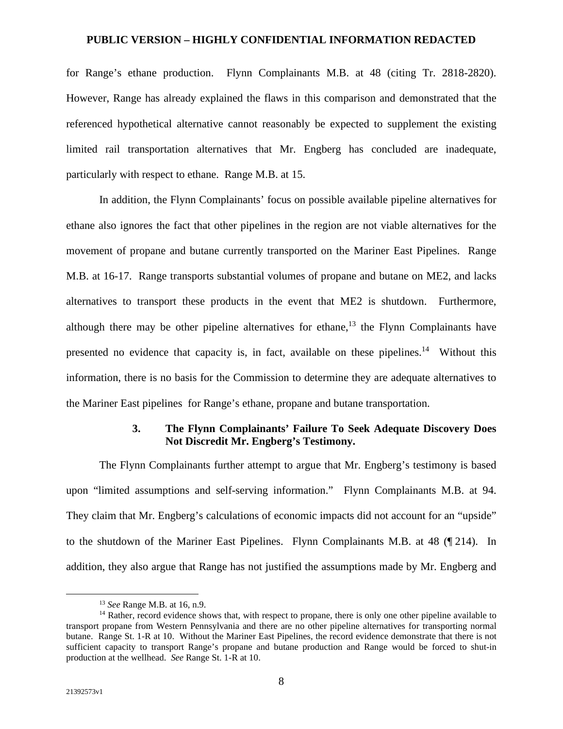for Range's ethane production. Flynn Complainants M.B. at 48 (citing Tr. 2818-2820). However, Range has already explained the flaws in this comparison and demonstrated that the referenced hypothetical alternative cannot reasonably be expected to supplement the existing limited rail transportation alternatives that Mr. Engberg has concluded are inadequate, particularly with respect to ethane. Range M.B. at 15.

In addition, the Flynn Complainants' focus on possible available pipeline alternatives for ethane also ignores the fact that other pipelines in the region are not viable alternatives for the movement of propane and butane currently transported on the Mariner East Pipelines. Range M.B. at 16-17. Range transports substantial volumes of propane and butane on ME2, and lacks alternatives to transport these products in the event that ME2 is shutdown. Furthermore, although there may be other pipeline alternatives for ethane,<sup>13</sup> the Flynn Complainants have presented no evidence that capacity is, in fact, available on these pipelines.<sup>14</sup> Without this information, there is no basis for the Commission to determine they are adequate alternatives to the Mariner East pipelines for Range's ethane, propane and butane transportation.

### **3. The Flynn Complainants' Failure To Seek Adequate Discovery Does Not Discredit Mr. Engberg's Testimony.**

The Flynn Complainants further attempt to argue that Mr. Engberg's testimony is based upon "limited assumptions and self-serving information." Flynn Complainants M.B. at 94. They claim that Mr. Engberg's calculations of economic impacts did not account for an "upside" to the shutdown of the Mariner East Pipelines. Flynn Complainants M.B. at 48 (¶ 214). In addition, they also argue that Range has not justified the assumptions made by Mr. Engberg and

<sup>13</sup> *See* Range M.B. at 16, n.9.

<sup>&</sup>lt;sup>14</sup> Rather, record evidence shows that, with respect to propane, there is only one other pipeline available to transport propane from Western Pennsylvania and there are no other pipeline alternatives for transporting normal butane. Range St. 1-R at 10. Without the Mariner East Pipelines, the record evidence demonstrate that there is not sufficient capacity to transport Range's propane and butane production and Range would be forced to shut-in production at the wellhead. *See* Range St. 1-R at 10.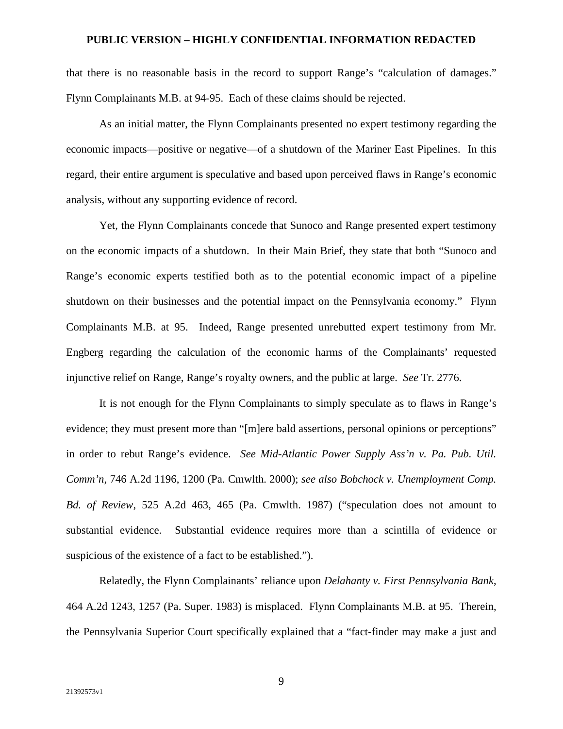that there is no reasonable basis in the record to support Range's "calculation of damages." Flynn Complainants M.B. at 94-95. Each of these claims should be rejected.

As an initial matter, the Flynn Complainants presented no expert testimony regarding the economic impacts—positive or negative—of a shutdown of the Mariner East Pipelines. In this regard, their entire argument is speculative and based upon perceived flaws in Range's economic analysis, without any supporting evidence of record.

Yet, the Flynn Complainants concede that Sunoco and Range presented expert testimony on the economic impacts of a shutdown. In their Main Brief, they state that both "Sunoco and Range's economic experts testified both as to the potential economic impact of a pipeline shutdown on their businesses and the potential impact on the Pennsylvania economy." Flynn Complainants M.B. at 95. Indeed, Range presented unrebutted expert testimony from Mr. Engberg regarding the calculation of the economic harms of the Complainants' requested injunctive relief on Range, Range's royalty owners, and the public at large. *See* Tr. 2776.

It is not enough for the Flynn Complainants to simply speculate as to flaws in Range's evidence; they must present more than "[m]ere bald assertions, personal opinions or perceptions" in order to rebut Range's evidence. *See Mid-Atlantic Power Supply Ass'n v. Pa. Pub. Util. Comm'n*, 746 A.2d 1196, 1200 (Pa. Cmwlth. 2000); *see also Bobchock v. Unemployment Comp. Bd. of Review*, 525 A.2d 463, 465 (Pa. Cmwlth. 1987) ("speculation does not amount to substantial evidence. Substantial evidence requires more than a scintilla of evidence or suspicious of the existence of a fact to be established.").

Relatedly, the Flynn Complainants' reliance upon *Delahanty v. First Pennsylvania Bank*, 464 A.2d 1243, 1257 (Pa. Super. 1983) is misplaced. Flynn Complainants M.B. at 95. Therein, the Pennsylvania Superior Court specifically explained that a "fact-finder may make a just and

9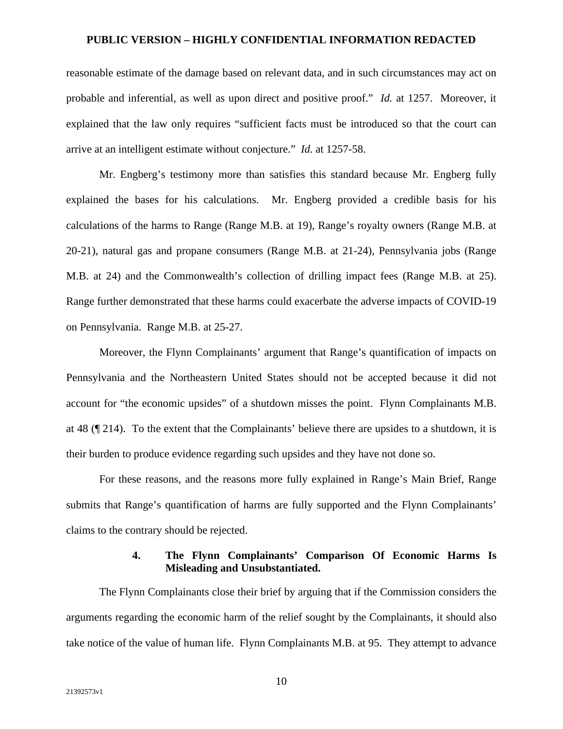reasonable estimate of the damage based on relevant data, and in such circumstances may act on probable and inferential, as well as upon direct and positive proof." *Id.* at 1257. Moreover, it explained that the law only requires "sufficient facts must be introduced so that the court can arrive at an intelligent estimate without conjecture." *Id.* at 1257-58.

Mr. Engberg's testimony more than satisfies this standard because Mr. Engberg fully explained the bases for his calculations. Mr. Engberg provided a credible basis for his calculations of the harms to Range (Range M.B. at 19), Range's royalty owners (Range M.B. at 20-21), natural gas and propane consumers (Range M.B. at 21-24), Pennsylvania jobs (Range M.B. at 24) and the Commonwealth's collection of drilling impact fees (Range M.B. at 25). Range further demonstrated that these harms could exacerbate the adverse impacts of COVID-19 on Pennsylvania. Range M.B. at 25-27.

Moreover, the Flynn Complainants' argument that Range's quantification of impacts on Pennsylvania and the Northeastern United States should not be accepted because it did not account for "the economic upsides" of a shutdown misses the point. Flynn Complainants M.B. at 48 (¶ 214). To the extent that the Complainants' believe there are upsides to a shutdown, it is their burden to produce evidence regarding such upsides and they have not done so.

For these reasons, and the reasons more fully explained in Range's Main Brief, Range submits that Range's quantification of harms are fully supported and the Flynn Complainants' claims to the contrary should be rejected.

### **4. The Flynn Complainants' Comparison Of Economic Harms Is Misleading and Unsubstantiated.**

The Flynn Complainants close their brief by arguing that if the Commission considers the arguments regarding the economic harm of the relief sought by the Complainants, it should also take notice of the value of human life. Flynn Complainants M.B. at 95. They attempt to advance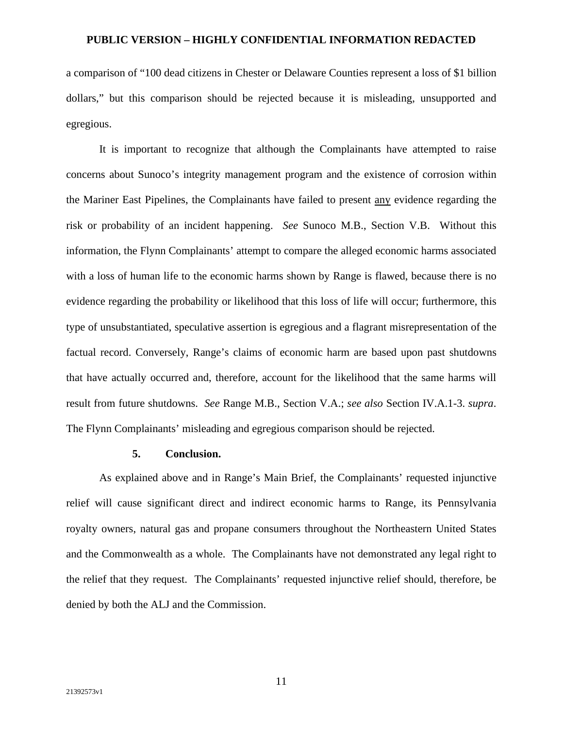a comparison of "100 dead citizens in Chester or Delaware Counties represent a loss of \$1 billion dollars," but this comparison should be rejected because it is misleading, unsupported and egregious.

It is important to recognize that although the Complainants have attempted to raise concerns about Sunoco's integrity management program and the existence of corrosion within the Mariner East Pipelines, the Complainants have failed to present any evidence regarding the risk or probability of an incident happening. *See* Sunoco M.B., Section V.B. Without this information, the Flynn Complainants' attempt to compare the alleged economic harms associated with a loss of human life to the economic harms shown by Range is flawed, because there is no evidence regarding the probability or likelihood that this loss of life will occur; furthermore, this type of unsubstantiated, speculative assertion is egregious and a flagrant misrepresentation of the factual record. Conversely, Range's claims of economic harm are based upon past shutdowns that have actually occurred and, therefore, account for the likelihood that the same harms will result from future shutdowns. *See* Range M.B., Section V.A.; *see also* Section IV.A.1-3. *supra*. The Flynn Complainants' misleading and egregious comparison should be rejected.

### **5. Conclusion.**

As explained above and in Range's Main Brief, the Complainants' requested injunctive relief will cause significant direct and indirect economic harms to Range, its Pennsylvania royalty owners, natural gas and propane consumers throughout the Northeastern United States and the Commonwealth as a whole. The Complainants have not demonstrated any legal right to the relief that they request. The Complainants' requested injunctive relief should, therefore, be denied by both the ALJ and the Commission.

11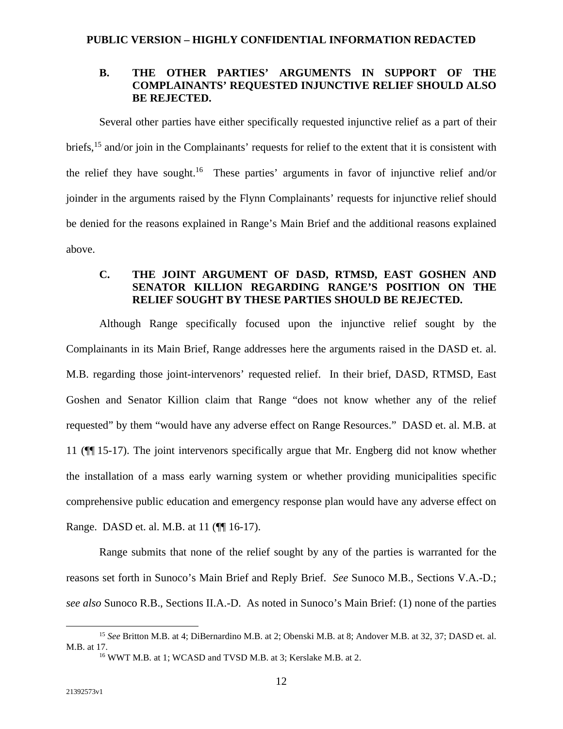### **B. THE OTHER PARTIES' ARGUMENTS IN SUPPORT OF THE COMPLAINANTS' REQUESTED INJUNCTIVE RELIEF SHOULD ALSO BE REJECTED.**

Several other parties have either specifically requested injunctive relief as a part of their briefs,<sup>15</sup> and/or join in the Complainants' requests for relief to the extent that it is consistent with the relief they have sought.<sup>16</sup> These parties' arguments in favor of injunctive relief and/or joinder in the arguments raised by the Flynn Complainants' requests for injunctive relief should be denied for the reasons explained in Range's Main Brief and the additional reasons explained above.

## **C. THE JOINT ARGUMENT OF DASD, RTMSD, EAST GOSHEN AND SENATOR KILLION REGARDING RANGE'S POSITION ON THE RELIEF SOUGHT BY THESE PARTIES SHOULD BE REJECTED.**

Although Range specifically focused upon the injunctive relief sought by the Complainants in its Main Brief, Range addresses here the arguments raised in the DASD et. al. M.B. regarding those joint-intervenors' requested relief. In their brief, DASD, RTMSD, East Goshen and Senator Killion claim that Range "does not know whether any of the relief requested" by them "would have any adverse effect on Range Resources." DASD et. al. M.B. at 11 (¶¶ 15-17). The joint intervenors specifically argue that Mr. Engberg did not know whether the installation of a mass early warning system or whether providing municipalities specific comprehensive public education and emergency response plan would have any adverse effect on Range. DASD et. al. M.B. at 11 (¶¶ 16-17).

Range submits that none of the relief sought by any of the parties is warranted for the reasons set forth in Sunoco's Main Brief and Reply Brief. *See* Sunoco M.B., Sections V.A.-D.; *see also* Sunoco R.B., Sections II.A.-D. As noted in Sunoco's Main Brief: (1) none of the parties

<sup>15</sup> *See* Britton M.B. at 4; DiBernardino M.B. at 2; Obenski M.B. at 8; Andover M.B. at 32, 37; DASD et. al. M.B. at 17.

<sup>16</sup> WWT M.B. at 1; WCASD and TVSD M.B. at 3; Kerslake M.B. at 2.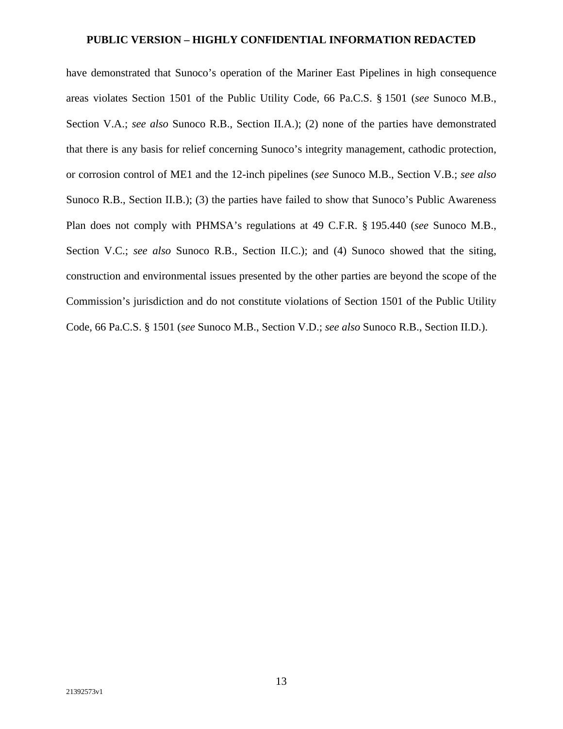have demonstrated that Sunoco's operation of the Mariner East Pipelines in high consequence areas violates Section 1501 of the Public Utility Code, 66 Pa.C.S. § 1501 (*see* Sunoco M.B., Section V.A.; *see also* Sunoco R.B., Section II.A.); (2) none of the parties have demonstrated that there is any basis for relief concerning Sunoco's integrity management, cathodic protection, or corrosion control of ME1 and the 12-inch pipelines (*see* Sunoco M.B., Section V.B.; *see also*  Sunoco R.B., Section II.B.); (3) the parties have failed to show that Sunoco's Public Awareness Plan does not comply with PHMSA's regulations at 49 C.F.R. § 195.440 (*see* Sunoco M.B., Section V.C.; *see also* Sunoco R.B., Section II.C.); and (4) Sunoco showed that the siting, construction and environmental issues presented by the other parties are beyond the scope of the Commission's jurisdiction and do not constitute violations of Section 1501 of the Public Utility Code, 66 Pa.C.S. § 1501 (*see* Sunoco M.B., Section V.D.; *see also* Sunoco R.B., Section II.D.).